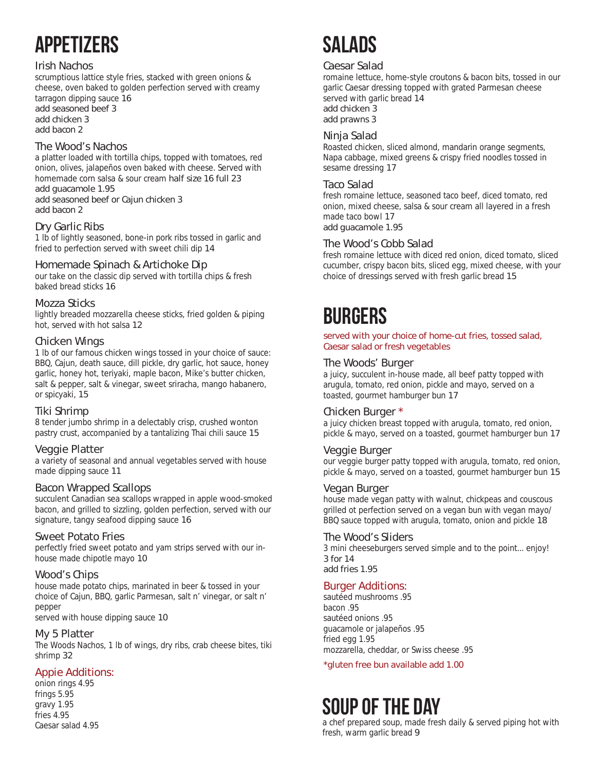# APPETIZERS

### **Irish Nachos**

scrumptious lattice style fries, stacked with green onions & cheese, oven baked to golden perfection served with creamy

tarragon dipping sauce **16 add seasoned beef 3** 

**add chicken 3**

**add bacon 2**

### **The Wood's Nachos**

a platter loaded with tortilla chips, topped with tomatoes, red onion, olives, jalapeños oven baked with cheese. Served with homemade corn salsa & sour cream **half size 16 full 23**

**add guacamole 1.95** 

**add seasoned beef or Cajun chicken 3 add bacon 2**

### **Dry Garlic Ribs**

1 lb of lightly seasoned, bone-in pork ribs tossed in garlic and fried to perfection served with sweet chili dip **14**

### **Homemade Spinach & Artichoke Dip**

our take on the classic dip served with tortilla chips & fresh baked bread sticks **16**

### **Mozza Sticks**

lightly breaded mozzarella cheese sticks, fried golden & piping hot, served with hot salsa **12**

### **Chicken Wings**

1 lb of our famous chicken wings tossed in your choice of sauce: BBQ, Cajun, death sauce, dill pickle, dry garlic, hot sauce, honey garlic, honey hot, teriyaki, maple bacon, Mike's butter chicken, salt & pepper, salt & vinegar, sweet sriracha, mango habanero, or spicyaki, **15**

### **Tiki Shrimp**

8 tender jumbo shrimp in a delectably crisp, crushed wonton pastry crust, accompanied by a tantalizing Thai chili sauce **15**

### **Veggie Platter**

a variety of seasonal and annual vegetables served with house made dipping sauce **11**

### **Bacon Wrapped Scallops**

succulent Canadian sea scallops wrapped in apple wood-smoked bacon, and grilled to sizzling, golden perfection, served with our signature, tangy seafood dipping sauce **16**

### **Sweet Potato Fries**

perfectly fried sweet potato and yam strips served with our inhouse made chipotle mayo **10**

### **Wood's Chips**

house made potato chips, marinated in beer & tossed in your choice of Cajun, BBQ, garlic Parmesan, salt n' vinegar, or salt n' pepper

served with house dipping sauce **10**

### **My 5 Platter**

The Woods Nachos, 1 lb of wings, dry ribs, crab cheese bites, tiki shrimp **32**

### **Appie Additions:**

onion rings 4.95 frings 5.95 gravy 1.95 fries 4.95 Caesar salad 4.95

# SAI ANS

### **Caesar Salad**

romaine lettuce, home-style croutons & bacon bits, tossed in our garlic Caesar dressing topped with grated Parmesan cheese served with garlic bread **14 add chicken 3**

**add prawns 3** 

### **Ninja Salad**

Roasted chicken, sliced almond, mandarin orange segments, Napa cabbage, mixed greens & crispy fried noodles tossed in sesame dressing **17**

### **Taco Salad**

fresh romaine lettuce, seasoned taco beef, diced tomato, red onion, mixed cheese, salsa & sour cream all layered in a fresh made taco bowl **17**

**add guacamole 1.95** 

### **The Wood's Cobb Salad**

fresh romaine lettuce with diced red onion, diced tomato, sliced cucumber, crispy bacon bits, sliced egg, mixed cheese, with your choice of dressings served with fresh garlic bread **15**

## **BURGERS**

**served with your choice of home-cut fries, tossed salad, Caesar salad or fresh vegetables** 

### **The Woods' Burger**

a juicy, succulent in-house made, all beef patty topped with arugula, tomato, red onion, pickle and mayo, served on a toasted, gourmet hamburger bun **17**

### **Chicken Burger \***

a juicy chicken breast topped with arugula, tomato, red onion, pickle & mayo, served on a toasted, gourmet hamburger bun **17**

### **Veggie Burger**

our veggie burger patty topped with arugula, tomato, red onion, pickle & mayo, served on a toasted, gourmet hamburger bun **15**

### **Vegan Burger**

house made vegan patty with walnut, chickpeas and couscous grilled ot perfection served on a vegan bun with vegan mayo/ BBQ sauce topped with arugula, tomato, onion and pickle **18**

### **The Wood's Sliders**

3 mini cheeseburgers served simple and to the point... enjoy! **3 for 14 add fries 1.95** 

### **Burger Additions:**

sautéed mushrooms .95 bacon .95 sautéed onions .95 guacamole or jalapeños .95 fried egg 1.95 mozzarella, cheddar, or Swiss cheese .95

**\*gluten free bun available add 1.00**

## Soup of the Day

a chef prepared soup, made fresh daily & served piping hot with fresh, warm garlic bread **9**